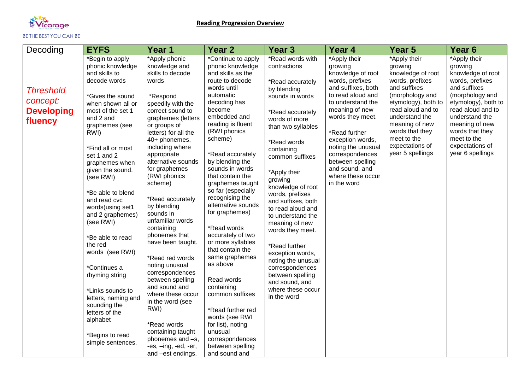

| Decoding          | <b>EYFS</b>                    | Year 1                             | Year <sub>2</sub>                      | <b>Year 3</b>                         | Year 4                                | Year 5                          | Year <sub>6</sub>               |
|-------------------|--------------------------------|------------------------------------|----------------------------------------|---------------------------------------|---------------------------------------|---------------------------------|---------------------------------|
|                   | *Begin to apply                | *Apply phonic                      | *Continue to apply                     | *Read words with                      | *Apply their                          | *Apply their                    | *Apply their                    |
|                   | phonic knowledge               | knowledge and                      | phonic knowledge                       | contractions                          | growing                               | growing                         | growing                         |
|                   | and skills to<br>decode words  | skills to decode                   | and skills as the                      |                                       | knowledge of root                     | knowledge of root               | knowledge of root               |
|                   |                                | words                              | route to decode<br>words until         | *Read accurately                      | words, prefixes<br>and suffixes, both | words, prefixes<br>and suffixes | words, prefixes<br>and suffixes |
| <b>Threshold</b>  | *Gives the sound               | *Respond                           | automatic                              | by blending<br>sounds in words        | to read aloud and                     | (morphology and                 | (morphology and                 |
| concept:          | when shown all or              | speedily with the                  | decoding has                           |                                       | to understand the                     | etymology), both to             | etymology), both to             |
| <b>Developing</b> | most of the set 1              | correct sound to                   | become                                 | *Read accurately                      | meaning of new                        | read aloud and to               | read aloud and to               |
|                   | and 2 and                      | graphemes (letters                 | embedded and                           | words of more                         | words they meet.                      | understand the                  | understand the                  |
| fluency           | graphemes (see                 | or groups of                       | reading is fluent                      | than two syllables                    |                                       | meaning of new                  | meaning of new                  |
|                   | RWI)                           | letters) for all the               | (RWI phonics                           |                                       | *Read further                         | words that they                 | words that they                 |
|                   |                                | 40+ phonemes,                      | scheme)                                | *Read words                           | exception words,                      | meet to the                     | meet to the                     |
|                   | *Find all or most              | including where                    |                                        | containing                            | noting the unusual                    | expectations of                 | expectations of                 |
|                   | set 1 and 2                    | appropriate<br>alternative sounds  | *Read accurately                       | common suffixes                       | correspondences                       | year 5 spellings                | year 6 spellings                |
|                   | graphemes when                 | for graphemes                      | by blending the<br>sounds in words     |                                       | between spelling<br>and sound, and    |                                 |                                 |
|                   | given the sound.<br>(see RWI)  | (RWI phonics                       | that contain the                       | *Apply their                          | where these occur                     |                                 |                                 |
|                   |                                | scheme)                            | graphemes taught                       | growing                               | in the word                           |                                 |                                 |
|                   | *Be able to blend              |                                    | so far (especially                     | knowledge of root                     |                                       |                                 |                                 |
|                   | and read cvc                   | *Read accurately                   | recognising the                        | words, prefixes<br>and suffixes, both |                                       |                                 |                                 |
|                   | words(using set1               | by blending                        | alternative sounds                     | to read aloud and                     |                                       |                                 |                                 |
|                   | and 2 graphemes)               | sounds in                          | for graphemes)                         | to understand the                     |                                       |                                 |                                 |
|                   | (see RWI)                      | unfamiliar words                   |                                        | meaning of new                        |                                       |                                 |                                 |
|                   |                                | containing                         | *Read words                            | words they meet.                      |                                       |                                 |                                 |
|                   | *Be able to read               | phonemes that<br>have been taught. | accurately of two<br>or more syllables |                                       |                                       |                                 |                                 |
|                   | the red                        |                                    | that contain the                       | *Read further                         |                                       |                                 |                                 |
|                   | words (see RWI)                | *Read red words                    | same graphemes                         | exception words,                      |                                       |                                 |                                 |
|                   |                                | noting unusual                     | as above                               | noting the unusual                    |                                       |                                 |                                 |
|                   | *Continues a<br>rhyming string | correspondences                    |                                        | correspondences<br>between spelling   |                                       |                                 |                                 |
|                   |                                | between spelling                   | Read words                             | and sound, and                        |                                       |                                 |                                 |
|                   | *Links sounds to               | and sound and                      | containing                             | where these occur                     |                                       |                                 |                                 |
|                   | letters, naming and            | where these occur                  | common suffixes                        | in the word                           |                                       |                                 |                                 |
|                   | sounding the                   | in the word (see                   |                                        |                                       |                                       |                                 |                                 |
|                   | letters of the                 | RWI)                               | *Read further red                      |                                       |                                       |                                 |                                 |
|                   | alphabet                       | *Read words                        | words (see RWI                         |                                       |                                       |                                 |                                 |
|                   |                                | containing taught                  | for list), noting<br>unusual           |                                       |                                       |                                 |                                 |
|                   | *Begins to read                | phonemes and -s,                   | correspondences                        |                                       |                                       |                                 |                                 |
|                   | simple sentences.              | -es, -ing, -ed, -er,               | between spelling                       |                                       |                                       |                                 |                                 |
|                   |                                | and -est endings.                  | and sound and                          |                                       |                                       |                                 |                                 |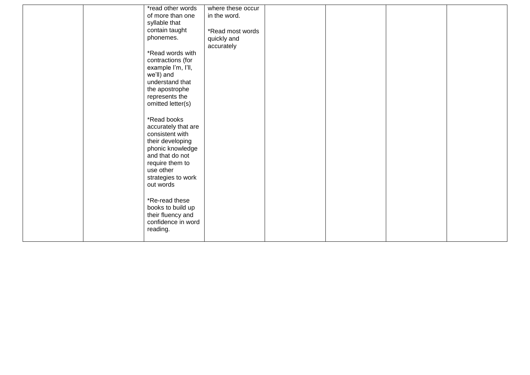| *read other words<br>of more than one<br>syllable that                                                                                                                              | where these occur<br>in the word.             |  |  |
|-------------------------------------------------------------------------------------------------------------------------------------------------------------------------------------|-----------------------------------------------|--|--|
| contain taught<br>phonemes.                                                                                                                                                         | *Read most words<br>quickly and<br>accurately |  |  |
| *Read words with<br>contractions (for<br>example I'm, I'll,<br>we'll) and<br>understand that<br>the apostrophe<br>represents the<br>omitted letter(s)                               |                                               |  |  |
| *Read books<br>accurately that are<br>consistent with<br>their developing<br>phonic knowledge<br>and that do not<br>require them to<br>use other<br>strategies to work<br>out words |                                               |  |  |
| *Re-read these<br>books to build up<br>their fluency and<br>confidence in word<br>reading.                                                                                          |                                               |  |  |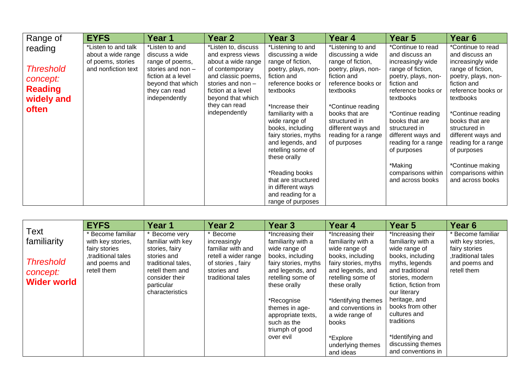| Range of                                                                         | <b>EYFS</b>                                                                           | Year 1                                                                                                                                                | Year 2                                                                                                                                                                                                    | Year 3                                                                                                                                                                                                                                                                                                                                                            | Year 4                                                                                                                                                                                                                                                   | Year 5                                                                                                                                                                                                                                                                                                                          | Year 6                                                                                                                                                                                                                                                                                                                                   |
|----------------------------------------------------------------------------------|---------------------------------------------------------------------------------------|-------------------------------------------------------------------------------------------------------------------------------------------------------|-----------------------------------------------------------------------------------------------------------------------------------------------------------------------------------------------------------|-------------------------------------------------------------------------------------------------------------------------------------------------------------------------------------------------------------------------------------------------------------------------------------------------------------------------------------------------------------------|----------------------------------------------------------------------------------------------------------------------------------------------------------------------------------------------------------------------------------------------------------|---------------------------------------------------------------------------------------------------------------------------------------------------------------------------------------------------------------------------------------------------------------------------------------------------------------------------------|------------------------------------------------------------------------------------------------------------------------------------------------------------------------------------------------------------------------------------------------------------------------------------------------------------------------------------------|
| reading<br><b>Threshold</b><br>concept:<br><b>Reading</b><br>widely and<br>often | *Listen to and talk<br>about a wide range<br>of poems, stories<br>and nonfiction text | *Listen to and<br>discuss a wide<br>range of poems,<br>stories and non -<br>fiction at a level<br>beyond that which<br>they can read<br>independently | *Listen to, discuss<br>and express views<br>about a wide range<br>of contemporary<br>and classic poems,<br>stories and non -<br>fiction at a level<br>beyond that which<br>they can read<br>independently | *Listening to and<br>discussing a wide<br>range of fiction,<br>poetry, plays, non-<br>fiction and<br>reference books or<br>textbooks<br>*Increase their<br>familiarity with a<br>wide range of<br>books, including<br>fairy stories, myths<br>and legends, and<br>retelling some of<br>these orally<br>*Reading books<br>that are structured<br>in different ways | *Listening to and<br>discussing a wide<br>range of fiction,<br>poetry, plays, non-<br>fiction and<br>reference books or<br>textbooks<br>*Continue reading<br>books that are<br>structured in<br>different ways and<br>reading for a range<br>of purposes | *Continue to read<br>and discuss an<br>increasingly wide<br>range of fiction,<br>poetry, plays, non-<br>fiction and<br>reference books or<br>textbooks<br>*Continue reading<br>books that are<br>structured in<br>different ways and<br>reading for a range<br>of purposes<br>*Making<br>comparisons within<br>and across books | *Continue to read<br>and discuss an<br>increasingly wide<br>range of fiction,<br>poetry, plays, non-<br>fiction and<br>reference books or<br>textbooks<br>*Continue reading<br>books that are<br>structured in<br>different ways and<br>reading for a range<br>of purposes<br>*Continue making<br>comparisons within<br>and across books |
|                                                                                  |                                                                                       |                                                                                                                                                       |                                                                                                                                                                                                           | and reading for a<br>range of purposes                                                                                                                                                                                                                                                                                                                            |                                                                                                                                                                                                                                                          |                                                                                                                                                                                                                                                                                                                                 |                                                                                                                                                                                                                                                                                                                                          |

|                                                                           | <b>EYFS</b>                                                                                                   | Year 1                                                                                                                                                        | Year 2                                                                                                                         | Year <sub>3</sub>                                                                                                                                             | Year 4                                                                                                                                                        | Year 5                                                                                                                                                                        | Year <sub>6</sub>                                                                                             |
|---------------------------------------------------------------------------|---------------------------------------------------------------------------------------------------------------|---------------------------------------------------------------------------------------------------------------------------------------------------------------|--------------------------------------------------------------------------------------------------------------------------------|---------------------------------------------------------------------------------------------------------------------------------------------------------------|---------------------------------------------------------------------------------------------------------------------------------------------------------------|-------------------------------------------------------------------------------------------------------------------------------------------------------------------------------|---------------------------------------------------------------------------------------------------------------|
| Text<br>familiarity<br><b>Threshold</b><br>concept:<br><b>Wider world</b> | * Become familiar<br>with key stories,<br>fairy stories<br>traditional tales.<br>and poems and<br>retell them | Become very<br>familiar with key<br>stories, fairy<br>stories and<br>traditional tales,<br>retell them and<br>consider their<br>particular<br>characteristics | * Become<br>increasingly<br>familiar with and<br>retell a wider range<br>of stories, fairy<br>stories and<br>traditional tales | *Increasing their<br>familiarity with a<br>wide range of<br>books, including<br>fairy stories, myths<br>and legends, and<br>retelling some of<br>these orally | *Increasing their<br>familiarity with a<br>wide range of<br>books, including<br>fairy stories, myths<br>and legends, and<br>retelling some of<br>these orally | *Increasing their<br>familiarity with a<br>wide range of<br>books, including<br>myths, legends<br>and traditional<br>stories, modern<br>fiction, fiction from<br>our literary | * Become familiar<br>with key stories,<br>fairy stories<br>traditional tales,<br>and poems and<br>retell them |
|                                                                           |                                                                                                               |                                                                                                                                                               |                                                                                                                                | *Recognise<br>themes in age-<br>appropriate texts,<br>such as the<br>triumph of good<br>over evil                                                             | *Identifying themes<br>and conventions in<br>a wide range of<br>books<br>*Explore<br>underlying themes<br>and ideas                                           | heritage, and<br>books from other<br>cultures and<br>traditions<br>*Identifying and<br>discussing themes<br>and conventions in                                                |                                                                                                               |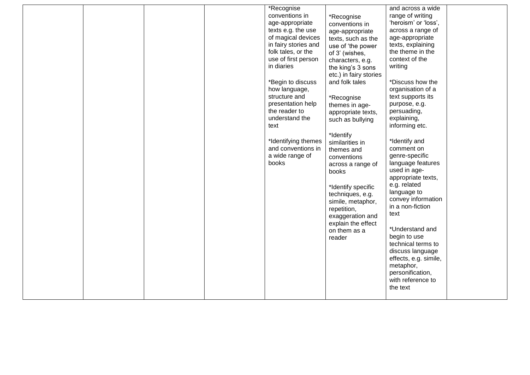|  |  | *Recognise<br>conventions in<br>age-appropriate<br>texts e.g. the use<br>of magical devices<br>in fairy stories and<br>folk tales, or the<br>use of first person<br>in diaries<br>*Begin to discuss<br>how language,<br>structure and<br>presentation help<br>the reader to<br>understand the<br>text<br>*Identifying themes<br>and conventions in<br>a wide range of<br>books | *Recognise<br>conventions in<br>age-appropriate<br>texts, such as the<br>use of 'the power<br>of 3' (wishes,<br>characters, e.g.<br>the king's 3 sons<br>etc.) in fairy stories<br>and folk tales<br>*Recognise<br>themes in age-<br>appropriate texts,<br>such as bullying<br>*Identify<br>similarities in<br>themes and<br>conventions<br>across a range of<br>books<br>*Identify specific<br>techniques, e.g.<br>simile, metaphor,<br>repetition,<br>exaggeration and<br>explain the effect<br>on them as a<br>reader | and across a wide<br>range of writing<br>'heroism' or 'loss',<br>across a range of<br>age-appropriate<br>texts, explaining<br>the theme in the<br>context of the<br>writing<br>*Discuss how the<br>organisation of a<br>text supports its<br>purpose, e.g.<br>persuading,<br>explaining,<br>informing etc.<br>*Identify and<br>comment on<br>genre-specific<br>language features<br>used in age-<br>appropriate texts,<br>e.g. related<br>language to<br>convey information<br>in a non-fiction<br>text<br>*Understand and<br>begin to use<br>technical terms to<br>discuss language<br>effects, e.g. simile,<br>metaphor,<br>personification,<br>with reference to<br>the text |  |
|--|--|--------------------------------------------------------------------------------------------------------------------------------------------------------------------------------------------------------------------------------------------------------------------------------------------------------------------------------------------------------------------------------|--------------------------------------------------------------------------------------------------------------------------------------------------------------------------------------------------------------------------------------------------------------------------------------------------------------------------------------------------------------------------------------------------------------------------------------------------------------------------------------------------------------------------|---------------------------------------------------------------------------------------------------------------------------------------------------------------------------------------------------------------------------------------------------------------------------------------------------------------------------------------------------------------------------------------------------------------------------------------------------------------------------------------------------------------------------------------------------------------------------------------------------------------------------------------------------------------------------------|--|
|  |  |                                                                                                                                                                                                                                                                                                                                                                                |                                                                                                                                                                                                                                                                                                                                                                                                                                                                                                                          |                                                                                                                                                                                                                                                                                                                                                                                                                                                                                                                                                                                                                                                                                 |  |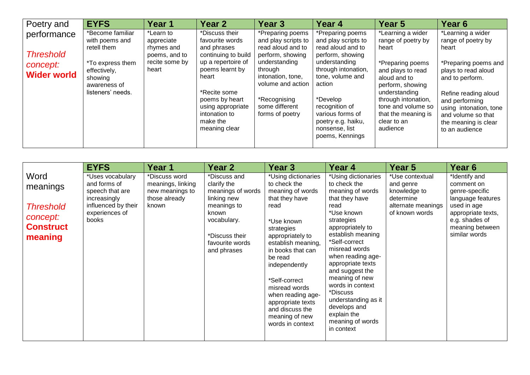| Poetry and                                                        | <b>EYFS</b>                                                                                                                           | Year 1                                                                            | Year <sub>2</sub>                                                                                                                                                                                                              | Year <sub>3</sub>                                                                                                                                                                                           | Year 4                                                                                                                                                                                                                                                              | Year 5                                                                                                                                                                                                                                        | Year 6                                                                                                                                                                                                                                                 |
|-------------------------------------------------------------------|---------------------------------------------------------------------------------------------------------------------------------------|-----------------------------------------------------------------------------------|--------------------------------------------------------------------------------------------------------------------------------------------------------------------------------------------------------------------------------|-------------------------------------------------------------------------------------------------------------------------------------------------------------------------------------------------------------|---------------------------------------------------------------------------------------------------------------------------------------------------------------------------------------------------------------------------------------------------------------------|-----------------------------------------------------------------------------------------------------------------------------------------------------------------------------------------------------------------------------------------------|--------------------------------------------------------------------------------------------------------------------------------------------------------------------------------------------------------------------------------------------------------|
| performance<br><b>Threshold</b><br>concept:<br><b>Wider world</b> | *Become familiar<br>with poems and<br>retell them<br>*To express them<br>effectively,<br>showing<br>awareness of<br>listeners' needs. | *Learn to<br>appreciate<br>rhymes and<br>poems, and to<br>recite some by<br>heart | *Discuss their<br>favourite words<br>and phrases<br>continuing to build<br>up a repertoire of<br>poems learnt by<br>heart<br>*Recite some<br>poems by heart<br>using appropriate<br>intonation to<br>make the<br>meaning clear | *Preparing poems<br>and play scripts to<br>read aloud and to<br>perform, showing<br>understanding<br>through<br>intonation, tone,<br>volume and action<br>*Recognising<br>some different<br>forms of poetry | *Preparing poems<br>and play scripts to<br>read aloud and to<br>perform, showing<br>understanding<br>through intonation,<br>tone, volume and<br>action<br>*Develop<br>recognition of<br>various forms of<br>poetry e.g. haiku,<br>nonsense, list<br>poems, Kennings | *Learning a wider<br>range of poetry by<br>heart<br>*Preparing poems<br>and plays to read<br>aloud and to<br>perform, showing<br>understanding<br>through intonation,<br>tone and volume so<br>that the meaning is<br>clear to an<br>audience | *Learning a wider<br>range of poetry by<br>heart<br>*Preparing poems and<br>plays to read aloud<br>and to perform.<br>Refine reading aloud<br>and performing<br>using intonation, tone<br>and volume so that<br>the meaning is clear<br>to an audience |

|                                                                                 | <b>EYFS</b>                                                                                                           | Year 1                                                                          | Year <sub>2</sub>                                                                                                                                          | Year <sub>3</sub>                                                                                                                                                                                                                                                                                                                             | Year 4                                                                                                                                                                                                                                                                                                                                                                                          | Year 5                                                                                            | Year 6                                                                                                                                                        |
|---------------------------------------------------------------------------------|-----------------------------------------------------------------------------------------------------------------------|---------------------------------------------------------------------------------|------------------------------------------------------------------------------------------------------------------------------------------------------------|-----------------------------------------------------------------------------------------------------------------------------------------------------------------------------------------------------------------------------------------------------------------------------------------------------------------------------------------------|-------------------------------------------------------------------------------------------------------------------------------------------------------------------------------------------------------------------------------------------------------------------------------------------------------------------------------------------------------------------------------------------------|---------------------------------------------------------------------------------------------------|---------------------------------------------------------------------------------------------------------------------------------------------------------------|
| Word<br>meanings<br><b>Threshold</b><br>concept:<br><b>Construct</b><br>meaning | *Uses vocabulary<br>and forms of<br>speech that are<br>increasingly<br>influenced by their<br>experiences of<br>books | *Discuss word<br>meanings, linking<br>new meanings to<br>those already<br>known | *Discuss and<br>clarify the<br>meanings of words<br>linking new<br>meanings to<br>known<br>vocabulary.<br>*Discuss their<br>favourite words<br>and phrases | *Using dictionaries<br>to check the<br>meaning of words<br>that they have<br>read<br>*Use known<br>strategies<br>appropriately to<br>establish meaning,<br>in books that can<br>be read<br>independently<br>*Self-correct<br>misread words<br>when reading age-<br>appropriate texts<br>and discuss the<br>meaning of new<br>words in context | *Using dictionaries<br>to check the<br>meaning of words<br>that they have<br>read<br>*Use known<br>strategies<br>appropriately to<br>establish meaning<br>*Self-correct<br>misread words<br>when reading age-<br>appropriate texts<br>and suggest the<br>meaning of new<br>words in context<br>*Discuss<br>understanding as it<br>develops and<br>explain the<br>meaning of words<br>in context | *Use contextual<br>and genre<br>knowledge to<br>determine<br>alternate meanings<br>of known words | *Identify and<br>comment on<br>genre-specific<br>language features<br>used in age<br>appropriate texts,<br>e.g. shades of<br>meaning between<br>similar words |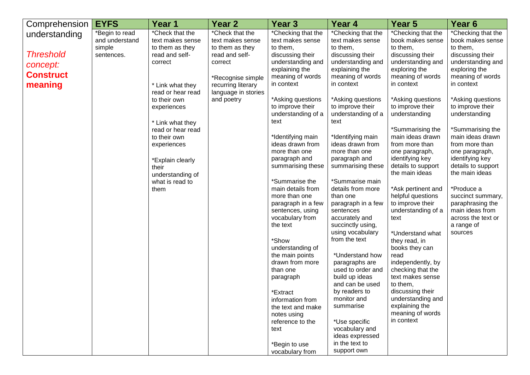| Comprehension                                                                | <b>EYFS</b>                                              | Year <sub>1</sub>                                                                                                                                                                                                                                                                                               | Year <sub>2</sub>                                                                                                                                                   | Year <sub>3</sub>                                                                                                                                                                                                                                                                                                                                                                                                                                                                                                                                                                                                                           | Year 4                                                                                                                                                                                                                                                                                                                                                                                                                                                                                                                                                                                                                                                 | Year <sub>5</sub>                                                                                                                                                                                                                                                                                                                                                                                                                                                                                                                                                                                                                                                                  | Year <sub>6</sub>                                                                                                                                                                                                                                                                                                                                                                                                                                                        |
|------------------------------------------------------------------------------|----------------------------------------------------------|-----------------------------------------------------------------------------------------------------------------------------------------------------------------------------------------------------------------------------------------------------------------------------------------------------------------|---------------------------------------------------------------------------------------------------------------------------------------------------------------------|---------------------------------------------------------------------------------------------------------------------------------------------------------------------------------------------------------------------------------------------------------------------------------------------------------------------------------------------------------------------------------------------------------------------------------------------------------------------------------------------------------------------------------------------------------------------------------------------------------------------------------------------|--------------------------------------------------------------------------------------------------------------------------------------------------------------------------------------------------------------------------------------------------------------------------------------------------------------------------------------------------------------------------------------------------------------------------------------------------------------------------------------------------------------------------------------------------------------------------------------------------------------------------------------------------------|------------------------------------------------------------------------------------------------------------------------------------------------------------------------------------------------------------------------------------------------------------------------------------------------------------------------------------------------------------------------------------------------------------------------------------------------------------------------------------------------------------------------------------------------------------------------------------------------------------------------------------------------------------------------------------|--------------------------------------------------------------------------------------------------------------------------------------------------------------------------------------------------------------------------------------------------------------------------------------------------------------------------------------------------------------------------------------------------------------------------------------------------------------------------|
| understanding<br><b>Threshold</b><br>concept:<br><b>Construct</b><br>meaning | *Begin to read<br>and understand<br>simple<br>sentences. | *Check that the<br>text makes sense<br>to them as they<br>read and self-<br>correct<br>* Link what they<br>read or hear read<br>to their own<br>experiences<br>* Link what they<br>read or hear read<br>to their own<br>experiences<br>*Explain clearly<br>their<br>understanding of<br>what is read to<br>them | *Check that the<br>text makes sense<br>to them as they<br>read and self-<br>correct<br>*Recognise simple<br>recurring literary<br>language in stories<br>and poetry | *Checking that the<br>text makes sense<br>to them,<br>discussing their<br>understanding and<br>explaining the<br>meaning of words<br>in context<br>*Asking questions<br>to improve their<br>understanding of a<br>text<br>*Identifying main<br>ideas drawn from<br>more than one<br>paragraph and<br>summarising these<br>*Summarise the<br>main details from<br>more than one<br>paragraph in a few<br>sentences, using<br>vocabulary from<br>the text<br>*Show<br>understanding of<br>the main points<br>drawn from more<br>than one<br>paragraph<br>*Extract<br>information from<br>the text and make<br>notes using<br>reference to the | *Checking that the<br>text makes sense<br>to them,<br>discussing their<br>understanding and<br>explaining the<br>meaning of words<br>in context<br>*Asking questions<br>to improve their<br>understanding of a<br>text<br>*Identifying main<br>ideas drawn from<br>more than one<br>paragraph and<br>summarising these<br>*Summarise main<br>details from more<br>than one<br>paragraph in a few<br>sentences<br>accurately and<br>succinctly using,<br>using vocabulary<br>from the text<br>*Understand how<br>paragraphs are<br>used to order and<br>build up ideas<br>and can be used<br>by readers to<br>monitor and<br>summarise<br>*Use specific | *Checking that the<br>book makes sense<br>to them,<br>discussing their<br>understanding and<br>exploring the<br>meaning of words<br>in context<br>*Asking questions<br>to improve their<br>understanding<br>*Summarising the<br>main ideas drawn<br>from more than<br>one paragraph,<br>identifying key<br>details to support<br>the main ideas<br>*Ask pertinent and<br>helpful questions<br>to improve their<br>understanding of a<br>text<br>*Understand what<br>they read, in<br>books they can<br>read<br>independently, by<br>checking that the<br>text makes sense<br>to them,<br>discussing their<br>understanding and<br>explaining the<br>meaning of words<br>in context | *Checking that the<br>book makes sense<br>to them,<br>discussing their<br>understanding and<br>exploring the<br>meaning of words<br>in context<br>*Asking questions<br>to improve their<br>understanding<br>*Summarising the<br>main ideas drawn<br>from more than<br>one paragraph,<br>identifying key<br>details to support<br>the main ideas<br>*Produce a<br>succinct summary,<br>paraphrasing the<br>main ideas from<br>across the text or<br>a range of<br>sources |
|                                                                              |                                                          |                                                                                                                                                                                                                                                                                                                 |                                                                                                                                                                     | text                                                                                                                                                                                                                                                                                                                                                                                                                                                                                                                                                                                                                                        | vocabulary and<br>ideas expressed                                                                                                                                                                                                                                                                                                                                                                                                                                                                                                                                                                                                                      |                                                                                                                                                                                                                                                                                                                                                                                                                                                                                                                                                                                                                                                                                    |                                                                                                                                                                                                                                                                                                                                                                                                                                                                          |
|                                                                              |                                                          |                                                                                                                                                                                                                                                                                                                 |                                                                                                                                                                     | *Begin to use<br>vocabulary from                                                                                                                                                                                                                                                                                                                                                                                                                                                                                                                                                                                                            | in the text to<br>support own                                                                                                                                                                                                                                                                                                                                                                                                                                                                                                                                                                                                                          |                                                                                                                                                                                                                                                                                                                                                                                                                                                                                                                                                                                                                                                                                    |                                                                                                                                                                                                                                                                                                                                                                                                                                                                          |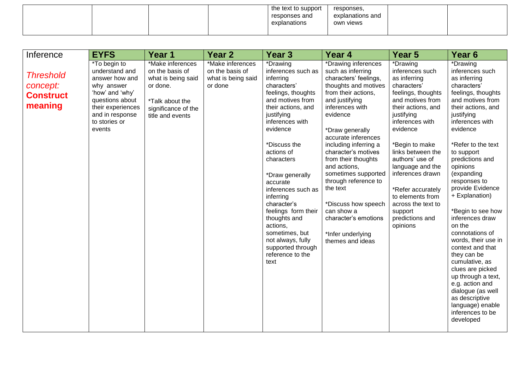|  |  | the text to support<br>responses and<br>explanations | responses.<br>explanations and<br>own views |  |
|--|--|------------------------------------------------------|---------------------------------------------|--|
|  |  |                                                      |                                             |  |

| Inference                                                   | <b>EYFS</b>                                                                                                                                                             | Year 1                                                                                                                              | Year <sub>2</sub>                                                    | Year <sub>3</sub>                                                                                                                                                                                                                                                                                                                                                                                                                               | Year 4                                                                                                                                                                                                                                                                                                                                                                                                                                                              | Year 5                                                                                                                                                                                                                                                                                                                                                                             | Year <sub>6</sub>                                                                                                                                                                                                                                                                                                                                                                                                                                                                                                                                                                                                        |
|-------------------------------------------------------------|-------------------------------------------------------------------------------------------------------------------------------------------------------------------------|-------------------------------------------------------------------------------------------------------------------------------------|----------------------------------------------------------------------|-------------------------------------------------------------------------------------------------------------------------------------------------------------------------------------------------------------------------------------------------------------------------------------------------------------------------------------------------------------------------------------------------------------------------------------------------|---------------------------------------------------------------------------------------------------------------------------------------------------------------------------------------------------------------------------------------------------------------------------------------------------------------------------------------------------------------------------------------------------------------------------------------------------------------------|------------------------------------------------------------------------------------------------------------------------------------------------------------------------------------------------------------------------------------------------------------------------------------------------------------------------------------------------------------------------------------|--------------------------------------------------------------------------------------------------------------------------------------------------------------------------------------------------------------------------------------------------------------------------------------------------------------------------------------------------------------------------------------------------------------------------------------------------------------------------------------------------------------------------------------------------------------------------------------------------------------------------|
| <b>Threshold</b><br>concept:<br><b>Construct</b><br>meaning | *To begin to<br>understand and<br>answer how and<br>why answer<br>'how' and 'why'<br>questions about<br>their experiences<br>and in response<br>to stories or<br>events | *Make inferences<br>on the basis of<br>what is being said<br>or done.<br>*Talk about the<br>significance of the<br>title and events | *Make inferences<br>on the basis of<br>what is being said<br>or done | *Drawing<br>inferences such as<br>inferring<br>characters'<br>feelings, thoughts<br>and motives from<br>their actions, and<br>justifying<br>inferences with<br>evidence<br>*Discuss the<br>actions of<br>characters<br>*Draw generally<br>accurate<br>inferences such as<br>inferring<br>character's<br>feelings form their<br>thoughts and<br>actions,<br>sometimes, but<br>not always, fully<br>supported through<br>reference to the<br>text | *Drawing inferences<br>such as inferring<br>characters' feelings,<br>thoughts and motives<br>from their actions,<br>and justifying<br>inferences with<br>evidence<br>*Draw generally<br>accurate inferences<br>including inferring a<br>character's motives<br>from their thoughts<br>and actions,<br>sometimes supported<br>through reference to<br>the text<br>*Discuss how speech<br>can show a<br>character's emotions<br>*Infer underlying<br>themes and ideas | *Drawing<br>inferences such<br>as inferring<br>characters'<br>feelings, thoughts<br>and motives from<br>their actions, and<br>justifying<br>inferences with<br>evidence<br>*Begin to make<br>links between the<br>authors' use of<br>language and the<br>inferences drawn<br>*Refer accurately<br>to elements from<br>across the text to<br>support<br>predictions and<br>opinions | *Drawing<br>inferences such<br>as inferring<br>characters'<br>feelings, thoughts<br>and motives from<br>their actions, and<br>justifying<br>inferences with<br>evidence<br>*Refer to the text<br>to support<br>predictions and<br>opinions<br>(expanding<br>responses to<br>provide Evidence<br>+ Explanation)<br>*Begin to see how<br>inferences draw<br>on the<br>connotations of<br>words, their use in<br>context and that<br>they can be<br>cumulative, as<br>clues are picked<br>up through a text,<br>e.g. action and<br>dialogue (as well<br>as descriptive<br>language) enable<br>inferences to be<br>developed |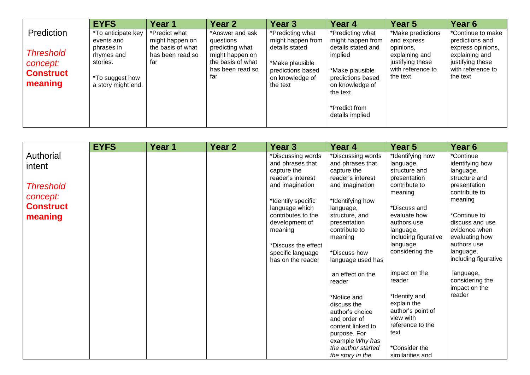|                                                             | <b>EYFS</b>                                                                                 | Year 1                                                          | Year 2                                                                                          | Year 3                                                                                                     | Year <sub>4</sub>                                                                                                                                             | Year 5                                                                                          | Year 6                                                                                                      |
|-------------------------------------------------------------|---------------------------------------------------------------------------------------------|-----------------------------------------------------------------|-------------------------------------------------------------------------------------------------|------------------------------------------------------------------------------------------------------------|---------------------------------------------------------------------------------------------------------------------------------------------------------------|-------------------------------------------------------------------------------------------------|-------------------------------------------------------------------------------------------------------------|
| Prediction                                                  | *To anticipate key                                                                          | *Predict what                                                   | *Answer and ask                                                                                 | *Predicting what                                                                                           | *Predicting what                                                                                                                                              | *Make predictions                                                                               | *Continue to make                                                                                           |
| <b>Threshold</b><br>concept:<br><b>Construct</b><br>meaning | events and<br>phrases in<br>rhymes and<br>stories.<br>*To suggest how<br>a story might end. | might happen on<br>the basis of what<br>has been read so<br>far | questions<br>predicting what<br>might happen on<br>the basis of what<br>has been read so<br>far | might happen from<br>details stated<br>*Make plausible<br>predictions based<br>on knowledge of<br>the text | might happen from<br>details stated and<br>implied<br>*Make plausible<br>predictions based<br>on knowledge of<br>the text<br>*Predict from<br>details implied | and express<br>opinions,<br>explaining and<br>justifying these<br>with reference to<br>the text | predictions and<br>express opinions,<br>explaining and<br>justifying these<br>with reference to<br>the text |

|                  | <b>EYFS</b> | Year 1 | Year 2 | <b>Year 3</b>       | Year 4             | Year 5               | Year 6                            |
|------------------|-------------|--------|--------|---------------------|--------------------|----------------------|-----------------------------------|
| Authorial        |             |        |        | *Discussing words   | *Discussing words  | *Identifying how     | *Continue                         |
| intent           |             |        |        | and phrases that    | and phrases that   | language,            | identifying how                   |
|                  |             |        |        | capture the         | capture the        | structure and        | language,                         |
|                  |             |        |        | reader's interest   | reader's interest  | presentation         | structure and                     |
| <b>Threshold</b> |             |        |        | and imagination     | and imagination    | contribute to        | presentation                      |
| concept:         |             |        |        |                     |                    | meaning              | contribute to                     |
|                  |             |        |        | *Identify specific  | *Identifying how   |                      | meaning                           |
| <b>Construct</b> |             |        |        | language which      | language,          | *Discuss and         |                                   |
| meaning          |             |        |        | contributes to the  | structure, and     | evaluate how         | *Continue to                      |
|                  |             |        |        | development of      | presentation       | authors use          | discuss and use                   |
|                  |             |        |        | meaning             | contribute to      | language,            | evidence when                     |
|                  |             |        |        |                     | meaning            | including figurative | evaluating how                    |
|                  |             |        |        | *Discuss the effect |                    | language,            | authors use                       |
|                  |             |        |        | specific language   | *Discuss how       | considering the      | language,<br>including figurative |
|                  |             |        |        | has on the reader   | language used has  |                      |                                   |
|                  |             |        |        |                     | an effect on the   | impact on the        | language,                         |
|                  |             |        |        |                     | reader             | reader               | considering the                   |
|                  |             |        |        |                     |                    |                      | impact on the                     |
|                  |             |        |        |                     | *Notice and        | *Identify and        | reader                            |
|                  |             |        |        |                     | discuss the        | explain the          |                                   |
|                  |             |        |        |                     | author's choice    | author's point of    |                                   |
|                  |             |        |        |                     | and order of       | view with            |                                   |
|                  |             |        |        |                     | content linked to  | reference to the     |                                   |
|                  |             |        |        |                     | purpose. For       | text                 |                                   |
|                  |             |        |        |                     | example Why has    |                      |                                   |
|                  |             |        |        |                     | the author started | *Consider the        |                                   |
|                  |             |        |        |                     | the story in the   | similarities and     |                                   |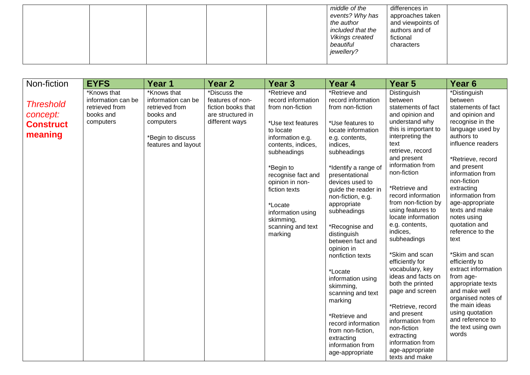|  |  | middle of the<br>differences in<br>events? Why has<br>approaches taken<br>and viewpoints of<br>the author<br>included that the<br>authors and of<br>Vikings created<br>fictional<br>beautiful<br>characters<br>jewellery? |  |
|--|--|---------------------------------------------------------------------------------------------------------------------------------------------------------------------------------------------------------------------------|--|
|--|--|---------------------------------------------------------------------------------------------------------------------------------------------------------------------------------------------------------------------------|--|

| Non-fiction                                                 | <b>EYFS</b>                                                                   | Year 1                                                                                                                    | <b>Year 2</b>                                                                                 | Year <sub>3</sub>                                                                                                                                                                                                                                                                                       | Year 4                                                                                                                                                                                                                                                                                                                                                                                                                                                                                                                                                                     | Year 5                                                                                                                                                                                                                                                                                                                                                                                                                                                                                                                                                                                                                               | Year <sub>6</sub>                                                                                                                                                                                                                                                                                                                                                                                                                                                                                                                                                                 |
|-------------------------------------------------------------|-------------------------------------------------------------------------------|---------------------------------------------------------------------------------------------------------------------------|-----------------------------------------------------------------------------------------------|---------------------------------------------------------------------------------------------------------------------------------------------------------------------------------------------------------------------------------------------------------------------------------------------------------|----------------------------------------------------------------------------------------------------------------------------------------------------------------------------------------------------------------------------------------------------------------------------------------------------------------------------------------------------------------------------------------------------------------------------------------------------------------------------------------------------------------------------------------------------------------------------|--------------------------------------------------------------------------------------------------------------------------------------------------------------------------------------------------------------------------------------------------------------------------------------------------------------------------------------------------------------------------------------------------------------------------------------------------------------------------------------------------------------------------------------------------------------------------------------------------------------------------------------|-----------------------------------------------------------------------------------------------------------------------------------------------------------------------------------------------------------------------------------------------------------------------------------------------------------------------------------------------------------------------------------------------------------------------------------------------------------------------------------------------------------------------------------------------------------------------------------|
| <b>Threshold</b><br>concept:<br><b>Construct</b><br>meaning | *Knows that<br>information can be<br>retrieved from<br>books and<br>computers | *Knows that<br>information can be<br>retrieved from<br>books and<br>computers<br>*Begin to discuss<br>features and layout | *Discuss the<br>features of non-<br>fiction books that<br>are structured in<br>different ways | *Retrieve and<br>record information<br>from non-fiction<br>*Use text features<br>to locate<br>information e.g.<br>contents, indices,<br>subheadings<br>*Begin to<br>recognise fact and<br>opinion in non-<br>fiction texts<br>*Locate<br>information using<br>skimming,<br>scanning and text<br>marking | *Retrieve and<br>record information<br>from non-fiction<br>*Use features to<br>locate information<br>e.g. contents,<br>indices,<br>subheadings<br>*Identify a range of<br>presentational<br>devices used to<br>guide the reader in<br>non-fiction, e.g.<br>appropriate<br>subheadings<br>*Recognise and<br>distinguish<br>between fact and<br>opinion in<br>nonfiction texts<br>*Locate<br>information using<br>skimming,<br>scanning and text<br>marking<br>*Retrieve and<br>record information<br>from non-fiction,<br>extracting<br>information from<br>age-appropriate | Distinguish<br>between<br>statements of fact<br>and opinion and<br>understand why<br>this is important to<br>interpreting the<br>text<br>retrieve, record<br>and present<br>information from<br>non-fiction<br>*Retrieve and<br>record information<br>from non-fiction by<br>using features to<br>locate information<br>e.g. contents,<br>indices,<br>subheadings<br>*Skim and scan<br>efficiently for<br>vocabulary, key<br>ideas and facts on<br>both the printed<br>page and screen<br>*Retrieve, record<br>and present<br>information from<br>non-fiction<br>extracting<br>information from<br>age-appropriate<br>texts and make | *Distinguish<br>between<br>statements of fact<br>and opinion and<br>recognise in the<br>language used by<br>authors to<br>influence readers<br>*Retrieve, record<br>and present<br>information from<br>non-fiction<br>extracting<br>information from<br>age-appropriate<br>texts and make<br>notes using<br>quotation and<br>reference to the<br>text<br>*Skim and scan<br>efficiently to<br>extract information<br>from age-<br>appropriate texts<br>and make well<br>organised notes of<br>the main ideas<br>using quotation<br>and reference to<br>the text using own<br>words |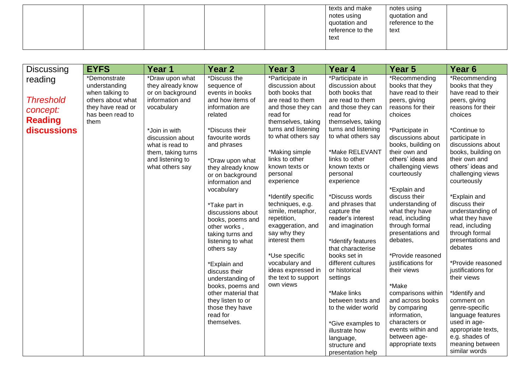|  |  | texts and make<br>notes using<br>quotation and<br>reference to the<br>text | notes using<br>quotation and<br>reference to the<br>text |  |
|--|--|----------------------------------------------------------------------------|----------------------------------------------------------|--|
|  |  |                                                                            |                                                          |  |

| <b>Discussing</b>                                                        | <b>EYFS</b>                                                                                                            | Year 1                                                                                                                                                                                                         | Year 2                                                                                                                                                                                                                                                                                                                                                                                                                                                                            | Year <sub>3</sub>                                                                                                                                                                                                                                                                                                                                                                                                                                                                                | Year 4                                                                                                                                                                                                                                                                                                                                                                                                                                                                                    | Year <sub>5</sub>                                                                                                                                                                                                                                                                                                                                                                                                                                                                     | Year <sub>6</sub>                                                                                                                                                                                                                                                                                                                                                                                                                                                                     |
|--------------------------------------------------------------------------|------------------------------------------------------------------------------------------------------------------------|----------------------------------------------------------------------------------------------------------------------------------------------------------------------------------------------------------------|-----------------------------------------------------------------------------------------------------------------------------------------------------------------------------------------------------------------------------------------------------------------------------------------------------------------------------------------------------------------------------------------------------------------------------------------------------------------------------------|--------------------------------------------------------------------------------------------------------------------------------------------------------------------------------------------------------------------------------------------------------------------------------------------------------------------------------------------------------------------------------------------------------------------------------------------------------------------------------------------------|-------------------------------------------------------------------------------------------------------------------------------------------------------------------------------------------------------------------------------------------------------------------------------------------------------------------------------------------------------------------------------------------------------------------------------------------------------------------------------------------|---------------------------------------------------------------------------------------------------------------------------------------------------------------------------------------------------------------------------------------------------------------------------------------------------------------------------------------------------------------------------------------------------------------------------------------------------------------------------------------|---------------------------------------------------------------------------------------------------------------------------------------------------------------------------------------------------------------------------------------------------------------------------------------------------------------------------------------------------------------------------------------------------------------------------------------------------------------------------------------|
| reading<br><b>Threshold</b><br>concept:<br><b>Reading</b><br>discussions | *Demonstrate<br>understanding<br>when talking to<br>others about what<br>they have read or<br>has been read to<br>them | *Draw upon what<br>they already know<br>or on background<br>information and<br>vocabulary<br>*Join in with<br>discussion about<br>what is read to<br>them, taking turns<br>and listening to<br>what others say | *Discuss the<br>sequence of<br>events in books<br>and how items of<br>information are<br>related<br>*Discuss their<br>favourite words<br>and phrases<br>*Draw upon what<br>they already know<br>or on background<br>information and<br>vocabulary<br>*Take part in<br>discussions about<br>books, poems and<br>other works<br>taking turns and<br>listening to what<br>others say<br>*Explain and<br>discuss their<br>understanding of<br>books, poems and<br>other material that | *Participate in<br>discussion about<br>both books that<br>are read to them<br>and those they can<br>read for<br>themselves, taking<br>turns and listening<br>to what others say<br>*Making simple<br>links to other<br>known texts or<br>personal<br>experience<br>*Identify specific<br>techniques, e.g.<br>simile, metaphor,<br>repetition,<br>exaggeration, and<br>say why they<br>interest them<br>*Use specific<br>vocabulary and<br>ideas expressed in<br>the text to support<br>own views | *Participate in<br>discussion about<br>both books that<br>are read to them<br>and those they can<br>read for<br>themselves, taking<br>turns and listening<br>to what others say<br>*Make RELEVANT<br>links to other<br>known texts or<br>personal<br>experience<br>*Discuss words<br>and phrases that<br>capture the<br>reader's interest<br>and imagination<br>*Identify features<br>that characterise<br>books set in<br>different cultures<br>or historical<br>settings<br>*Make links | *Recommending<br>books that they<br>have read to their<br>peers, giving<br>reasons for their<br>choices<br>*Participate in<br>discussions about<br>books, building on<br>their own and<br>others' ideas and<br>challenging views<br>courteously<br>*Explain and<br>discuss their<br>understanding of<br>what they have<br>read, including<br>through formal<br>presentations and<br>debates,<br>*Provide reasoned<br>justifications for<br>their views<br>*Make<br>comparisons within | *Recommending<br>books that they<br>have read to their<br>peers, giving<br>reasons for their<br>choices<br>*Continue to<br>participate in<br>discussions about<br>books, building on<br>their own and<br>others' ideas and<br>challenging views<br>courteously<br>*Explain and<br>discuss their<br>understanding of<br>what they have<br>read, including<br>through formal<br>presentations and<br>debates<br>*Provide reasoned<br>justifications for<br>their views<br>*Identify and |
|                                                                          |                                                                                                                        |                                                                                                                                                                                                                | they listen to or<br>those they have<br>read for<br>themselves.                                                                                                                                                                                                                                                                                                                                                                                                                   |                                                                                                                                                                                                                                                                                                                                                                                                                                                                                                  | between texts and<br>to the wider world<br>*Give examples to<br>illustrate how<br>language,<br>structure and                                                                                                                                                                                                                                                                                                                                                                              | and across books<br>by comparing<br>information,<br>characters or<br>events within and<br>between age-<br>appropriate texts                                                                                                                                                                                                                                                                                                                                                           | comment on<br>genre-specific<br>language features<br>used in age-<br>appropriate texts,<br>e.g. shades of<br>meaning between                                                                                                                                                                                                                                                                                                                                                          |
|                                                                          |                                                                                                                        |                                                                                                                                                                                                                |                                                                                                                                                                                                                                                                                                                                                                                                                                                                                   |                                                                                                                                                                                                                                                                                                                                                                                                                                                                                                  | presentation help                                                                                                                                                                                                                                                                                                                                                                                                                                                                         |                                                                                                                                                                                                                                                                                                                                                                                                                                                                                       | similar words                                                                                                                                                                                                                                                                                                                                                                                                                                                                         |